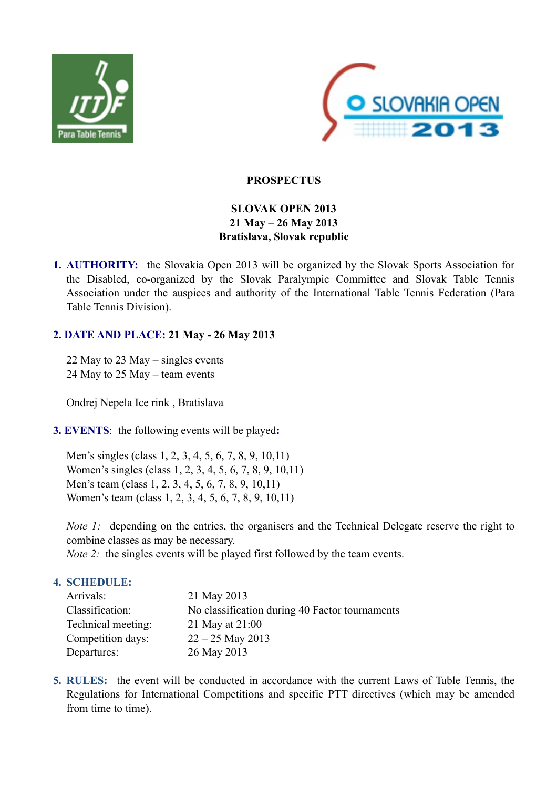



# **PROSPECTUS**

# **SLOVAK OPEN 2013 21 May – 26 May 2013 Bratislava, Slovak republic**

**1. AUTHORITY:** the Slovakia Open 2013 will be organized by the Slovak Sports Association for the Disabled, co-organized by the Slovak Paralympic Committee and Slovak Table Tennis Association under the auspices and authority of the International Table Tennis Federation (Para Table Tennis Division).

# **2. DATE AND PLACE: 21 May - 26 May 2013**

22 May to 23 May – singles events 24 May to 25 May – team events

Ondrej Nepela Ice rink , Bratislava

**3. EVENTS**: the following events will be played**:**

Men's singles (class 1, 2, 3, 4, 5, 6, 7, 8, 9, 10,11) Women's singles (class 1, 2, 3, 4, 5, 6, 7, 8, 9, 10,11) Men's team (class 1, 2, 3, 4, 5, 6, 7, 8, 9, 10,11) Women's team (class 1, 2, 3, 4, 5, 6, 7, 8, 9, 10,11)

*Note 1:* depending on the entries, the organisers and the Technical Delegate reserve the right to combine classes as may be necessary.

*Note 2:* the singles events will be played first followed by the team events.

# **4. SCHEDULE:**

| Arrivals:          | 21 May 2013                                    |
|--------------------|------------------------------------------------|
| Classification:    | No classification during 40 Factor tournaments |
| Technical meeting: | 21 May at 21:00                                |
| Competition days:  | $22 - 25$ May 2013                             |
| Departures:        | 26 May 2013                                    |

**5. RULES:** the event will be conducted in accordance with the current Laws of Table Tennis, the Regulations for International Competitions and specific PTT directives (which may be amended from time to time).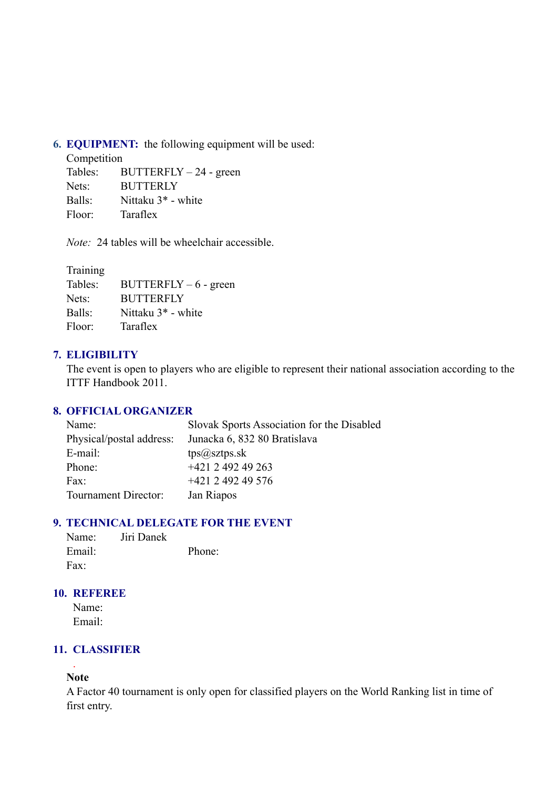**6. EQUIPMENT:** the following equipment will be used:

Competition

Tables: BUTTERFLY – 24 - green Nets: BUTTERLY Balls: Nittaku 3\* - white Floor: Taraflex

*Note:* 24 tables will be wheelchair accessible.

| Training |                                |
|----------|--------------------------------|
| Tables:  | $BUTTERFLY - 6$ - green        |
| Nets:    | <b>BUTTERFLY</b>               |
| Balls:   | Nittaku 3 <sup>*</sup> - white |
| Floor:   | Taraflex                       |

# **7. ELIGIBILITY**

The event is open to players who are eligible to represent their national association according to the ITTF Handbook 2011.

# **8. OFFICIAL ORGANIZER**

| Name:                    | Slovak Sports Association for the Disabled |
|--------------------------|--------------------------------------------|
| Physical/postal address: | Junacka 6, 832 80 Bratislava               |
| E-mail:                  | $tps(a)$ sztps.sk                          |
| Phone:                   | $+421$ 2 492 49 263                        |
| Fax:                     | $+421$ 2 492 49 576                        |
| Tournament Director:     | Jan Riapos                                 |

# **9. TECHNICAL DELEGATE FOR THE EVENT**

| Name:  | Jiri Danek |        |
|--------|------------|--------|
| Email: |            | Phone: |
| Fax:   |            |        |

### **10. REFEREE**

Name: Email:

# **11. CLASSIFIER**

#### . **Note**

A Factor 40 tournament is only open for classified players on the World Ranking list in time of first entry.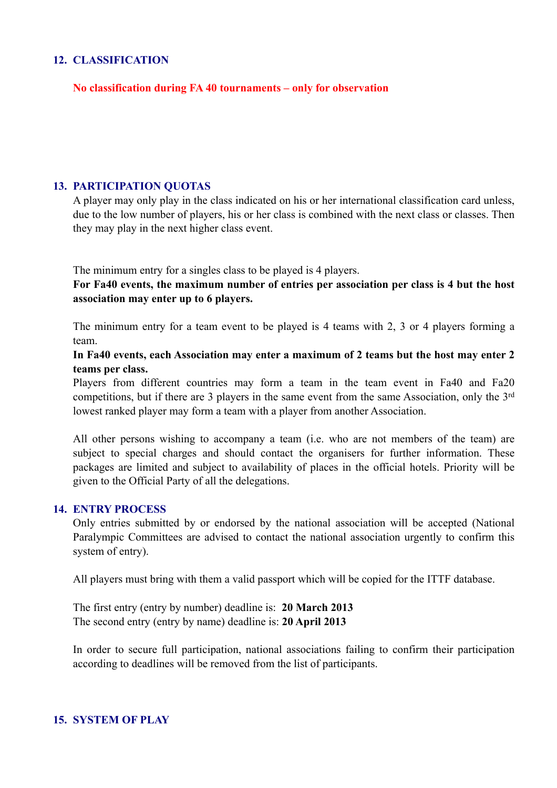#### **12. CLASSIFICATION**

### **No classification during FA 40 tournaments – only for observation**

### **13. PARTICIPATION QUOTAS**

A player may only play in the class indicated on his or her international classification card unless, due to the low number of players, his or her class is combined with the next class or classes. Then they may play in the next higher class event.

The minimum entry for a singles class to be played is 4 players.

**For Fa40 events, the maximum number of entries per association per class is 4 but the host association may enter up to 6 players.**

The minimum entry for a team event to be played is 4 teams with 2, 3 or 4 players forming a team.

**In Fa40 events, each Association may enter a maximum of 2 teams but the host may enter 2 teams per class.**

Players from different countries may form a team in the team event in Fa40 and Fa20 competitions, but if there are 3 players in the same event from the same Association, only the 3<sup>rd</sup> lowest ranked player may form a team with a player from another Association.

All other persons wishing to accompany a team (i.e. who are not members of the team) are subject to special charges and should contact the organisers for further information. These packages are limited and subject to availability of places in the official hotels. Priority will be given to the Official Party of all the delegations.

#### **14. ENTRY PROCESS**

Only entries submitted by or endorsed by the national association will be accepted (National Paralympic Committees are advised to contact the national association urgently to confirm this system of entry).

All players must bring with them a valid passport which will be copied for the ITTF database.

The first entry (entry by number) deadline is: **20 March 2013** The second entry (entry by name) deadline is: **20 April 2013**

In order to secure full participation, national associations failing to confirm their participation according to deadlines will be removed from the list of participants.

#### **15. SYSTEM OF PLAY**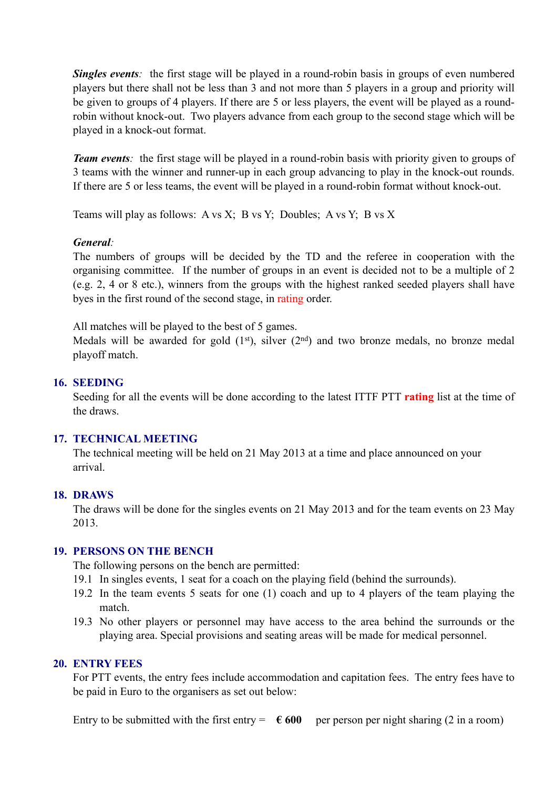*Singles events*: the first stage will be played in a round-robin basis in groups of even numbered players but there shall not be less than 3 and not more than 5 players in a group and priority will be given to groups of 4 players. If there are 5 or less players, the event will be played as a roundrobin without knock-out. Two players advance from each group to the second stage which will be played in a knock-out format.

*Team events*: the first stage will be played in a round-robin basis with priority given to groups of 3 teams with the winner and runner-up in each group advancing to play in the knock-out rounds. If there are 5 or less teams, the event will be played in a round-robin format without knock-out.

Teams will play as follows: A vs X; B vs Y; Doubles; A vs Y; B vs X

### *General:*

The numbers of groups will be decided by the TD and the referee in cooperation with the organising committee. If the number of groups in an event is decided not to be a multiple of 2 (e.g. 2, 4 or 8 etc.), winners from the groups with the highest ranked seeded players shall have byes in the first round of the second stage, in rating order.

All matches will be played to the best of 5 games.

Medals will be awarded for gold  $(1<sup>st</sup>)$ , silver  $(2<sup>nd</sup>)$  and two bronze medals, no bronze medal playoff match.

### **16. SEEDING**

Seeding for all the events will be done according to the latest ITTF PTT **rating** list at the time of the draws.

# **17. TECHNICAL MEETING**

The technical meeting will be held on 21 May 2013 at a time and place announced on your arrival.

#### **18. DRAWS**

The draws will be done for the singles events on 21 May 2013 and for the team events on 23 May 2013.

#### **19. PERSONS ON THE BENCH**

The following persons on the bench are permitted:

- 19.1 In singles events, 1 seat for a coach on the playing field (behind the surrounds).
- 19.2 In the team events 5 seats for one (1) coach and up to 4 players of the team playing the match.
- 19.3 No other players or personnel may have access to the area behind the surrounds or the playing area. Special provisions and seating areas will be made for medical personnel.

#### **20. ENTRY FEES**

For PTT events, the entry fees include accommodation and capitation fees. The entry fees have to be paid in Euro to the organisers as set out below:

Entry to be submitted with the first entry  $= \epsilon 600$  per person per night sharing (2 in a room)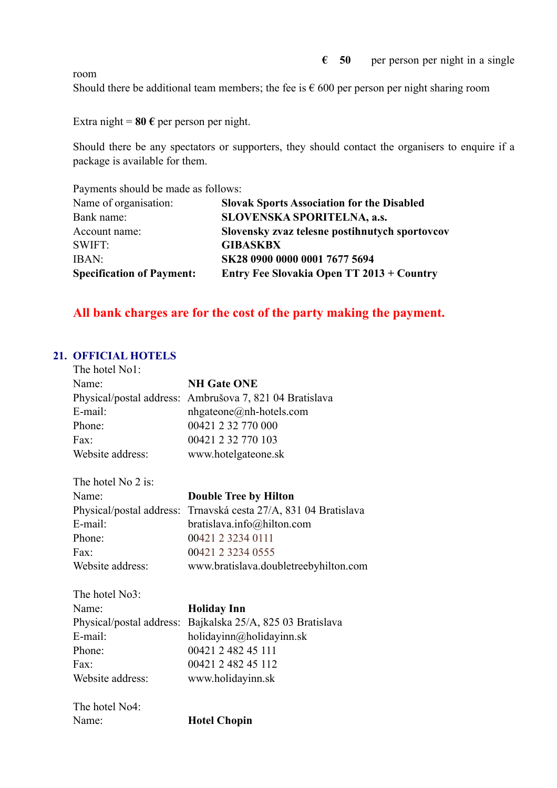$\epsilon$  50 per person per night in a single

room

Should there be additional team members; the fee is  $\epsilon$  600 per person per night sharing room

Extra night =  $80 \text{ } \in$  per person per night.

Should there be any spectators or supporters, they should contact the organisers to enquire if a package is available for them.

Payments should be made as follows:

| Name of organisation:            | <b>Slovak Sports Association for the Disabled</b> |
|----------------------------------|---------------------------------------------------|
| Bank name:                       | <b>SLOVENSKA SPORITELNA, a.s.</b>                 |
| Account name:                    | Slovensky zvaz telesne postihnutych sportovcov    |
| <b>SWIFT:</b>                    | <b>GIBASKBX</b>                                   |
| IBAN:                            | SK28 0900 0000 0001 7677 5694                     |
| <b>Specification of Payment:</b> | Entry Fee Slovakia Open TT 2013 + Country         |

# **All bank charges are for the cost of the party making the payment.**

# **21. OFFICIAL HOTELS**

| The hotel No1:           |                                        |
|--------------------------|----------------------------------------|
| Name:                    | <b>NH Gate ONE</b>                     |
| Physical/postal address: | Ambrušova 7, 821 04 Bratislava         |
| E-mail:                  | nhgateone@nh-hotels.com                |
| Phone:                   | 00421 2 32 770 000                     |
| Fax:                     | 00421 2 32 770 103                     |
| Website address:         | www.hotelgateone.sk                    |
| The hotel No 2 is:       |                                        |
| Name:                    | <b>Double Tree by Hilton</b>           |
| Physical/postal address: | Trnavská cesta 27/A, 831 04 Bratislava |
| E-mail:                  | bratislava.info@hilton.com             |
| Phone:                   | 00421 2 3234 0111                      |
| $\text{Fax}:$            | 00421 2 3234 0555                      |
| Website address:         | www.bratislava.doubletreebyhilton.com  |
| The hotel No3:           |                                        |
| Name:                    | <b>Holiday Inn</b>                     |
| Physical/postal address: | Bajkalska 25/A, 825 03 Bratislava      |
| E-mail:                  | holidayinn@holidayinn.sk               |
| Phone:                   | 00421 2 482 45 111                     |
| $\text{Fax}:$            | 00421 2 482 45 112                     |
| Website address:         | www.holidayinn.sk                      |
| The hotel No4:           |                                        |
| Name:                    | <b>Hotel Chopin</b>                    |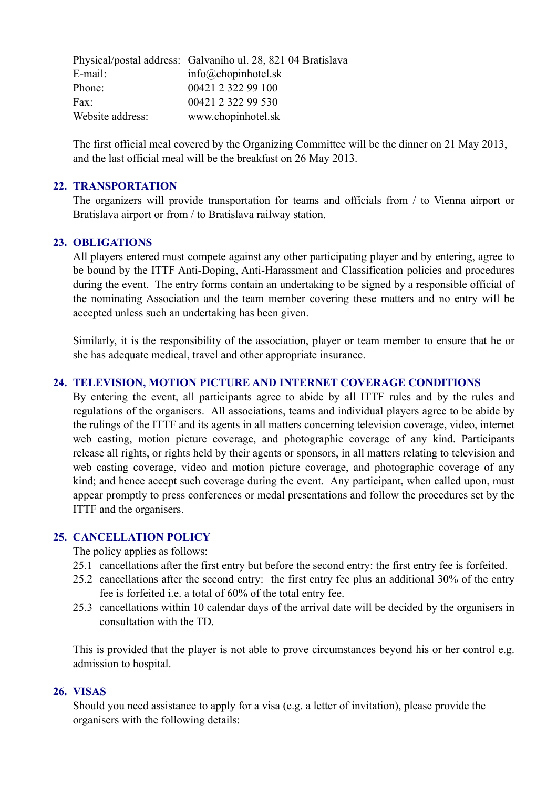|                  | Physical/postal address: Galvaniho ul. 28, 821 04 Bratislava |
|------------------|--------------------------------------------------------------|
| E-mail:          | $info@chopinhotel$ .sk                                       |
| Phone:           | 00421 2 322 99 100                                           |
| Fax:             | 00421 2 322 99 530                                           |
| Website address: | www.chopinhotel.sk                                           |

The first official meal covered by the Organizing Committee will be the dinner on 21 May 2013, and the last official meal will be the breakfast on 26 May 2013.

#### **22. TRANSPORTATION**

The organizers will provide transportation for teams and officials from / to Vienna airport or Bratislava airport or from / to Bratislava railway station.

### **23. OBLIGATIONS**

All players entered must compete against any other participating player and by entering, agree to be bound by the ITTF Anti-Doping, Anti-Harassment and Classification policies and procedures during the event. The entry forms contain an undertaking to be signed by a responsible official of the nominating Association and the team member covering these matters and no entry will be accepted unless such an undertaking has been given.

Similarly, it is the responsibility of the association, player or team member to ensure that he or she has adequate medical, travel and other appropriate insurance.

### **24. TELEVISION, MOTION PICTURE AND INTERNET COVERAGE CONDITIONS**

By entering the event, all participants agree to abide by all ITTF rules and by the rules and regulations of the organisers. All associations, teams and individual players agree to be abide by the rulings of the ITTF and its agents in all matters concerning television coverage, video, internet web casting, motion picture coverage, and photographic coverage of any kind. Participants release all rights, or rights held by their agents or sponsors, in all matters relating to television and web casting coverage, video and motion picture coverage, and photographic coverage of any kind; and hence accept such coverage during the event. Any participant, when called upon, must appear promptly to press conferences or medal presentations and follow the procedures set by the ITTF and the organisers.

#### **25. CANCELLATION POLICY**

The policy applies as follows:

- 25.1 cancellations after the first entry but before the second entry: the first entry fee is forfeited.
- 25.2 cancellations after the second entry: the first entry fee plus an additional 30% of the entry fee is forfeited i.e. a total of 60% of the total entry fee.
- 25.3 cancellations within 10 calendar days of the arrival date will be decided by the organisers in consultation with the TD.

This is provided that the player is not able to prove circumstances beyond his or her control e.g. admission to hospital.

#### **26. VISAS**

Should you need assistance to apply for a visa (e.g. a letter of invitation), please provide the organisers with the following details: